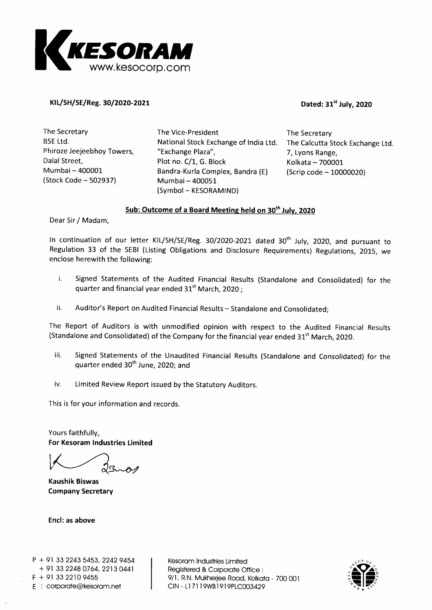

### KIL/SH/SE/Reg. 30/2020-2021 **Dated: 31<sup>st</sup> July, 2020**

The Secretary BSE Ltd. Phiroze Jeejeebhoy Towers, Dalal Street, Mumbai — 400001 (Stock Code — 502937)

The Vice-President National Stock Exchange of India Ltd. "Exchange Plaza", Plot no. C/1, G. Block Bandra-Kurla Complex, Bandra (E) Mumbai — 400051 (Symbol — KESORAMIND)

The Secretary The Calcutta Stock Exchange Ltd. 7, Lyons Range, Kolkata — 700001 (Scrip code — 10000020)

### **Sub: Outcome of a Board Meeting held on 30 th July, 2020**

Dear Sir / Madam,

In continuation of our letter KIL/SH/SE/Reg. 30/2020-2021 dated 30<sup>th</sup> July, 2020, and pursuant to Regulation 33 of the SEBI (Listing Obligations and Disclosure Requirements) Regulations, 2015, we enclose herewith the following:

- i. Signed Statements of the Audited Financial Results (Standalone and Consolidated) for the quarter and financial year ended  $31<sup>st</sup>$  March, 2020 ;
- ii. Auditor's Report on Audited Financial Results Standalone and Consolidated;

The Report of Auditors is with unmodified opinion with respect to the Audited Financial Results (Standalone and Consolidated) of the Company for the financial year ended  $31<sup>st</sup>$  March, 2020.

- iii. Signed Statements of the Unaudited Financial Results (Standalone and Consolidated) for the quarter ended 30<sup>th</sup> June, 2020; and
- iv. Limited Review Report issued by the Statutory Auditors.

This is for your information and records.

Yours faithfully, **For Kesoram Industries Limited** 

**Kaushik Biswas Company Secretary** 

**Encl: as above** 

Kesoram Industries Limited Registered & Corporate Office 9/1, R.N. Mukherjee Road, Kolkata - 700 001 CIN - Ll 7119WB1919PLC003429

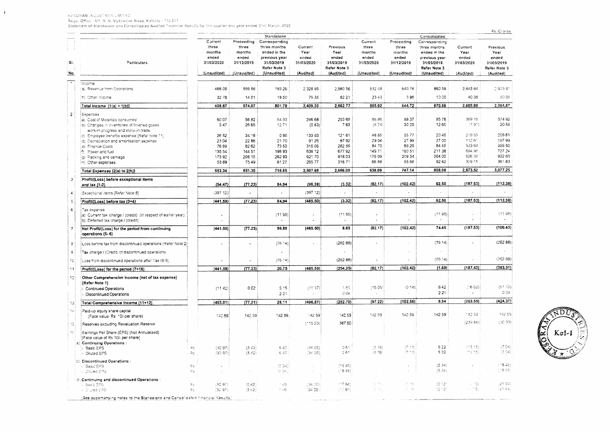INESORAM INDUSTRIES LIMITED. Rego, Office : 9/1-R. N. Mukherjee Road, Kolkata - 700 001-

 $\mathbf{r}$ 

Statement of Standaione and Consolidated Audited Financial Results for the quarter and year ended 31st March, 2020

|                                                                                                     |                                                                                                                                                                                                                                                                                                                                                                                                                                                                                                                                                                       | Current                                   |                                                                                                                                            | Standalone                                                                                                    |                                                                                                                                                  |                                                                                                                                        |                                                                                                                             |                                                                                            | Consolidated                                                                 |                                                                                                                                                                              |                                                                                         |
|-----------------------------------------------------------------------------------------------------|-----------------------------------------------------------------------------------------------------------------------------------------------------------------------------------------------------------------------------------------------------------------------------------------------------------------------------------------------------------------------------------------------------------------------------------------------------------------------------------------------------------------------------------------------------------------------|-------------------------------------------|--------------------------------------------------------------------------------------------------------------------------------------------|---------------------------------------------------------------------------------------------------------------|--------------------------------------------------------------------------------------------------------------------------------------------------|----------------------------------------------------------------------------------------------------------------------------------------|-----------------------------------------------------------------------------------------------------------------------------|--------------------------------------------------------------------------------------------|------------------------------------------------------------------------------|------------------------------------------------------------------------------------------------------------------------------------------------------------------------------|-----------------------------------------------------------------------------------------|
|                                                                                                     |                                                                                                                                                                                                                                                                                                                                                                                                                                                                                                                                                                       |                                           | Preceeding                                                                                                                                 | Corresponding                                                                                                 |                                                                                                                                                  |                                                                                                                                        | Current                                                                                                                     | Preceeding                                                                                 | Corresponding                                                                |                                                                                                                                                                              |                                                                                         |
|                                                                                                     |                                                                                                                                                                                                                                                                                                                                                                                                                                                                                                                                                                       | three<br>months<br>ended                  | three<br>months<br>ended                                                                                                                   | three months<br>ended in the<br>previous year                                                                 | Current<br>Year<br>ended                                                                                                                         | Previous<br>Year<br>ended                                                                                                              | three<br>months<br>ended                                                                                                    | three<br>months<br>ended                                                                   | three months<br>ended in the<br>previous year                                | Current<br>Year<br>ended                                                                                                                                                     | Previous<br>Year<br>ended                                                               |
| Particulars                                                                                         |                                                                                                                                                                                                                                                                                                                                                                                                                                                                                                                                                                       |                                           | 31/12/2019                                                                                                                                 | 31/03/2019<br>Refer Note 3                                                                                    | 31/03/2020                                                                                                                                       | 31/03/2019<br>Refer Note 3                                                                                                             | 31/03/2020                                                                                                                  | 31/12/2019                                                                                 | 31/03/2019<br>Refer Note 3                                                   | 31/03/2020                                                                                                                                                                   | 31/03/2019<br>Refer Note 3                                                              |
|                                                                                                     |                                                                                                                                                                                                                                                                                                                                                                                                                                                                                                                                                                       |                                           | (Unaudited)                                                                                                                                | (Unaudited)                                                                                                   | (Audited)                                                                                                                                        | (Audited)                                                                                                                              | (Unaudited)                                                                                                                 | (Unaudited)                                                                                | (Unaudited)                                                                  | (Audited)                                                                                                                                                                    | (Audited)                                                                               |
| lincome                                                                                             |                                                                                                                                                                                                                                                                                                                                                                                                                                                                                                                                                                       |                                           |                                                                                                                                            |                                                                                                               |                                                                                                                                                  |                                                                                                                                        |                                                                                                                             |                                                                                            |                                                                              |                                                                                                                                                                              |                                                                                         |
|                                                                                                     |                                                                                                                                                                                                                                                                                                                                                                                                                                                                                                                                                                       |                                           |                                                                                                                                            |                                                                                                               |                                                                                                                                                  |                                                                                                                                        |                                                                                                                             |                                                                                            |                                                                              |                                                                                                                                                                              | 0.903.91                                                                                |
|                                                                                                     |                                                                                                                                                                                                                                                                                                                                                                                                                                                                                                                                                                       |                                           |                                                                                                                                            |                                                                                                               |                                                                                                                                                  |                                                                                                                                        |                                                                                                                             |                                                                                            |                                                                              |                                                                                                                                                                              | 60.96                                                                                   |
|                                                                                                     |                                                                                                                                                                                                                                                                                                                                                                                                                                                                                                                                                                       |                                           |                                                                                                                                            |                                                                                                               |                                                                                                                                                  |                                                                                                                                        |                                                                                                                             |                                                                                            |                                                                              |                                                                                                                                                                              | 2,964.87                                                                                |
| Expenses                                                                                            |                                                                                                                                                                                                                                                                                                                                                                                                                                                                                                                                                                       |                                           |                                                                                                                                            |                                                                                                               |                                                                                                                                                  |                                                                                                                                        |                                                                                                                             |                                                                                            |                                                                              |                                                                                                                                                                              | 37492                                                                                   |
| (b) Changes in inventories of finished goods                                                        |                                                                                                                                                                                                                                                                                                                                                                                                                                                                                                                                                                       | 347                                       | 26 65                                                                                                                                      | 12.71                                                                                                         | (583)                                                                                                                                            | 763                                                                                                                                    | (4.74)                                                                                                                      | 30 29                                                                                      | 12.60                                                                        | (1.91)                                                                                                                                                                       | 2056                                                                                    |
| work-in-progress and stock-in-trade                                                                 |                                                                                                                                                                                                                                                                                                                                                                                                                                                                                                                                                                       |                                           |                                                                                                                                            |                                                                                                               |                                                                                                                                                  |                                                                                                                                        |                                                                                                                             |                                                                                            |                                                                              |                                                                                                                                                                              | 205 61                                                                                  |
|                                                                                                     |                                                                                                                                                                                                                                                                                                                                                                                                                                                                                                                                                                       |                                           |                                                                                                                                            |                                                                                                               |                                                                                                                                                  |                                                                                                                                        |                                                                                                                             |                                                                                            |                                                                              | 112.61                                                                                                                                                                       | 10799                                                                                   |
|                                                                                                     |                                                                                                                                                                                                                                                                                                                                                                                                                                                                                                                                                                       |                                           | 8262                                                                                                                                       | 73 53                                                                                                         | 315 05                                                                                                                                           |                                                                                                                                        | 84.70                                                                                                                       | 89.29                                                                                      | 84 45                                                                        | 343.64                                                                                                                                                                       | 356 50                                                                                  |
| <b>15</b> Power and fuel                                                                            |                                                                                                                                                                                                                                                                                                                                                                                                                                                                                                                                                                       | 135.54                                    | 144 51                                                                                                                                     | 198.93                                                                                                        | 639 12                                                                                                                                           | 677.92                                                                                                                                 | 149.71                                                                                                                      | 160 51                                                                                     | 211.38                                                                       | 694,96                                                                                                                                                                       | 727.24                                                                                  |
| g) Packing and carnage                                                                              |                                                                                                                                                                                                                                                                                                                                                                                                                                                                                                                                                                       | 17392                                     | 208.15                                                                                                                                     | 262 93                                                                                                        | 82170                                                                                                                                            | 918.03                                                                                                                                 | 175 09                                                                                                                      | 209 34                                                                                     | 264.00                                                                       | \$26,36                                                                                                                                                                      | 922.60                                                                                  |
| in) Other expenses                                                                                  |                                                                                                                                                                                                                                                                                                                                                                                                                                                                                                                                                                       |                                           |                                                                                                                                            |                                                                                                               |                                                                                                                                                  |                                                                                                                                        |                                                                                                                             |                                                                                            |                                                                              |                                                                                                                                                                              | 36183                                                                                   |
| Total Expenses (2(a) to 2(h)]                                                                       |                                                                                                                                                                                                                                                                                                                                                                                                                                                                                                                                                                       | 553.34                                    | 651.30                                                                                                                                     | 716.85                                                                                                        | 2,507.68                                                                                                                                         | 2,666.09                                                                                                                               | 638.09                                                                                                                      | 747.14                                                                                     | 808.08                                                                       | 2,873.52                                                                                                                                                                     | 3,077.25                                                                                |
| Profit/(Loss) before exceptional items                                                              |                                                                                                                                                                                                                                                                                                                                                                                                                                                                                                                                                                       | (54.47)                                   | (77.23)                                                                                                                                    | 84.94                                                                                                         | (98.36)                                                                                                                                          | (3.32)                                                                                                                                 | (82.17)                                                                                                                     | (102.42)                                                                                   | 62.50                                                                        | (187.53)                                                                                                                                                                     | (112.38)                                                                                |
| Exceptional items (Refer Note 8)                                                                    |                                                                                                                                                                                                                                                                                                                                                                                                                                                                                                                                                                       | (387.12)                                  | $\tilde{\phantom{a}}$                                                                                                                      |                                                                                                               | (387 12)                                                                                                                                         |                                                                                                                                        |                                                                                                                             | J.                                                                                         |                                                                              |                                                                                                                                                                              |                                                                                         |
| Profit/(Loss) before tax (3+4)                                                                      |                                                                                                                                                                                                                                                                                                                                                                                                                                                                                                                                                                       | (441.59)                                  |                                                                                                                                            | 84.94                                                                                                         | (485.50)                                                                                                                                         | (3.32)                                                                                                                                 | (82.17)                                                                                                                     |                                                                                            | 62.50                                                                        | (187.53)                                                                                                                                                                     | (112.38)                                                                                |
|                                                                                                     |                                                                                                                                                                                                                                                                                                                                                                                                                                                                                                                                                                       |                                           |                                                                                                                                            |                                                                                                               |                                                                                                                                                  |                                                                                                                                        |                                                                                                                             |                                                                                            |                                                                              |                                                                                                                                                                              |                                                                                         |
| (a) Current tax charge / (credit) (in respect of earlier year)<br>b) Deferred tax charge / (credit) |                                                                                                                                                                                                                                                                                                                                                                                                                                                                                                                                                                       |                                           |                                                                                                                                            | (11.95)                                                                                                       | $\ddot{\phantom{a}}$                                                                                                                             | (11.95)                                                                                                                                | $\ddot{\phantom{0}}$                                                                                                        | ò.                                                                                         | (11.95)                                                                      |                                                                                                                                                                              | (11.95)<br>$\bullet$                                                                    |
| Net Profit/(Loss) for the period from continuing<br>operations (5-6)                                |                                                                                                                                                                                                                                                                                                                                                                                                                                                                                                                                                                       | (441.59)                                  | (77.23)                                                                                                                                    | 96.89                                                                                                         | (485.50)                                                                                                                                         | 8.63                                                                                                                                   | (82.17)                                                                                                                     |                                                                                            | 74.45                                                                        | (187.53)                                                                                                                                                                     | (100.43)                                                                                |
| Loss before tax from discontinued operations (Refer Note 2)                                         |                                                                                                                                                                                                                                                                                                                                                                                                                                                                                                                                                                       |                                           | ä,                                                                                                                                         | (76.14)                                                                                                       |                                                                                                                                                  | (26288)                                                                                                                                |                                                                                                                             | $\alpha$                                                                                   | (75.14)                                                                      |                                                                                                                                                                              | (262.88)                                                                                |
| Tax charge / (Credit) of discontinued operations                                                    |                                                                                                                                                                                                                                                                                                                                                                                                                                                                                                                                                                       |                                           |                                                                                                                                            |                                                                                                               |                                                                                                                                                  |                                                                                                                                        |                                                                                                                             |                                                                                            |                                                                              |                                                                                                                                                                              |                                                                                         |
| Loss from discontinued operations after Tax (8-9)                                                   |                                                                                                                                                                                                                                                                                                                                                                                                                                                                                                                                                                       |                                           |                                                                                                                                            | (76.14)                                                                                                       |                                                                                                                                                  | (262.88)                                                                                                                               |                                                                                                                             | ä,                                                                                         |                                                                              |                                                                                                                                                                              | (262.88)                                                                                |
| Profit/(Loss) for the period (7+10)                                                                 |                                                                                                                                                                                                                                                                                                                                                                                                                                                                                                                                                                       | (441.59)                                  |                                                                                                                                            | 20.75                                                                                                         | (485.50)                                                                                                                                         | (254.25)                                                                                                                               | (82.17)                                                                                                                     |                                                                                            | (1.69)                                                                       | (187.53)                                                                                                                                                                     | (363.31)                                                                                |
| Other Comprehensive Income (net of tax expense)                                                     |                                                                                                                                                                                                                                                                                                                                                                                                                                                                                                                                                                       |                                           |                                                                                                                                            |                                                                                                               |                                                                                                                                                  |                                                                                                                                        |                                                                                                                             |                                                                                            |                                                                              |                                                                                                                                                                              |                                                                                         |
|                                                                                                     |                                                                                                                                                                                                                                                                                                                                                                                                                                                                                                                                                                       |                                           |                                                                                                                                            |                                                                                                               |                                                                                                                                                  |                                                                                                                                        |                                                                                                                             |                                                                                            |                                                                              |                                                                                                                                                                              | (61.10)                                                                                 |
|                                                                                                     |                                                                                                                                                                                                                                                                                                                                                                                                                                                                                                                                                                       |                                           |                                                                                                                                            | 221                                                                                                           |                                                                                                                                                  | 004                                                                                                                                    |                                                                                                                             |                                                                                            | 221                                                                          |                                                                                                                                                                              | 0.04                                                                                    |
|                                                                                                     |                                                                                                                                                                                                                                                                                                                                                                                                                                                                                                                                                                       | (453.01)                                  |                                                                                                                                            | 28.11                                                                                                         | (496.87)                                                                                                                                         | (252.70)                                                                                                                               | (97.22)                                                                                                                     |                                                                                            | 8.94                                                                         | (203.55)                                                                                                                                                                     | (424.37)                                                                                |
| Paid-up equity share capital                                                                        |                                                                                                                                                                                                                                                                                                                                                                                                                                                                                                                                                                       |                                           |                                                                                                                                            |                                                                                                               |                                                                                                                                                  |                                                                                                                                        |                                                                                                                             |                                                                                            |                                                                              | 142.69                                                                                                                                                                       | 142.59                                                                                  |
|                                                                                                     |                                                                                                                                                                                                                                                                                                                                                                                                                                                                                                                                                                       |                                           |                                                                                                                                            |                                                                                                               |                                                                                                                                                  |                                                                                                                                        |                                                                                                                             |                                                                                            |                                                                              | (239.84)                                                                                                                                                                     | (30.33)                                                                                 |
|                                                                                                     |                                                                                                                                                                                                                                                                                                                                                                                                                                                                                                                                                                       |                                           |                                                                                                                                            |                                                                                                               |                                                                                                                                                  |                                                                                                                                        |                                                                                                                             |                                                                                            |                                                                              |                                                                                                                                                                              |                                                                                         |
| [Face value of Rs 10/- per share]                                                                   |                                                                                                                                                                                                                                                                                                                                                                                                                                                                                                                                                                       |                                           |                                                                                                                                            |                                                                                                               |                                                                                                                                                  |                                                                                                                                        |                                                                                                                             |                                                                                            |                                                                              |                                                                                                                                                                              |                                                                                         |
| a) Continuing Operations :                                                                          |                                                                                                                                                                                                                                                                                                                                                                                                                                                                                                                                                                       |                                           |                                                                                                                                            |                                                                                                               |                                                                                                                                                  |                                                                                                                                        |                                                                                                                             |                                                                                            |                                                                              |                                                                                                                                                                              |                                                                                         |
|                                                                                                     |                                                                                                                                                                                                                                                                                                                                                                                                                                                                                                                                                                       |                                           |                                                                                                                                            |                                                                                                               |                                                                                                                                                  | 0.64                                                                                                                                   | (5.76)                                                                                                                      | $(7 * 3)$                                                                                  | 5 2 2                                                                        | 113.15)                                                                                                                                                                      | (7.04)<br>(7.04)                                                                        |
| b) Discontinued Operations :                                                                        |                                                                                                                                                                                                                                                                                                                                                                                                                                                                                                                                                                       |                                           |                                                                                                                                            |                                                                                                               |                                                                                                                                                  |                                                                                                                                        |                                                                                                                             |                                                                                            |                                                                              |                                                                                                                                                                              |                                                                                         |
| - Basic EPS                                                                                         | R <sub>S</sub>                                                                                                                                                                                                                                                                                                                                                                                                                                                                                                                                                        |                                           |                                                                                                                                            | (5.34)                                                                                                        |                                                                                                                                                  | (18.45)                                                                                                                                |                                                                                                                             |                                                                                            |                                                                              |                                                                                                                                                                              | 118.45<br>(18.45)                                                                       |
|                                                                                                     |                                                                                                                                                                                                                                                                                                                                                                                                                                                                                                                                                                       |                                           |                                                                                                                                            |                                                                                                               |                                                                                                                                                  |                                                                                                                                        |                                                                                                                             |                                                                                            |                                                                              |                                                                                                                                                                              |                                                                                         |
| (2) Continuing and discontinued Operations :<br>$-$ Basic EPS                                       | २९                                                                                                                                                                                                                                                                                                                                                                                                                                                                                                                                                                    | (30.97)                                   | (5.42)                                                                                                                                     | 146                                                                                                           | (34.06)                                                                                                                                          | (77.84)                                                                                                                                | 품 74                                                                                                                        | 空间数                                                                                        | (0.12)                                                                       | (11.15)                                                                                                                                                                      | 25.49                                                                                   |
|                                                                                                     |                                                                                                                                                                                                                                                                                                                                                                                                                                                                                                                                                                       | (30.97)                                   | (5.42)                                                                                                                                     | 148                                                                                                           | (34.05)                                                                                                                                          | (7784)                                                                                                                                 | 578,                                                                                                                        | 레 1명)                                                                                      | (3.12)                                                                       | 化分散                                                                                                                                                                          | (25.49)                                                                                 |
|                                                                                                     | a) Revenue from Operations<br>(b) Other income<br>Total Income [1(a) + 1(b)]<br>a) Cost of Materials consumed<br>ic) Employee benefits expense [Refer note 11]<br>d) Depreciation and amortisation expense<br>e) Finance Costs<br>and tax $(1-2)$<br>Tax expense<br>(Refer Note 1)<br><b>Continued Operations</b><br><b>Discontinued Operations</b><br>Total Comprehensive Income (11+12)<br>(Face value Rs 10/-per share)<br>Reserves excluding Revaluation Reserve<br>Earnings Per Share (EPS) (Not Annualised)<br>Basic EPS<br>Diluted EPS<br><b>I</b> Diluted EPS | $\mathbf{R}^{\mathrm{c}}$<br>ન્સ્ટ<br>Rs. | 31/03/2020<br>(Unaudited)<br>466.09<br>3278<br>498.87<br>6007<br>26 52<br>2304<br>76.89<br>5389<br>(11.42)<br>142.59<br>(30.97)<br>(30.97) | 559 56<br>14.51<br>574.07<br>5682<br>34.18<br>2288<br>75.49<br>002<br>(5.42)<br>(5.42)<br>$\hat{\phantom{a}}$ | 78329<br>1850<br>801.79<br>6493<br>0.85<br>21.70<br>8127<br>(77.23)<br>(77.23)<br>5 1 5<br>(77.21)<br>142.59<br>142.59<br>6.80<br>6.80<br>t5.34, | 2,329 95<br>79 35<br>2,409.30<br>246 68<br>133 93<br>9126<br>265.77<br>(11.37)<br>142.59<br>(115.23)<br>(3405)<br>(34.05)<br>$\lambda$ | 2,580 56<br>82.21<br>2,662.77<br>253 68<br>121 61<br>6792<br>282.59<br>31671<br>1.51<br>142.59<br>387.60<br>0.61<br>(18.46) | 532.49<br>23.43<br>555.92<br>88.86<br>48.55<br>29.04<br>6688<br>(1505)<br>142.59<br>(5.76) | 64076<br>396<br>644,72<br>88.37<br>5577<br>27.99<br>8558<br>142.59<br>(7.18) | 860 58<br>10.00<br>870.58<br>9578<br>2045<br>27 00<br>92.42<br>(102.42)<br>(102.42)<br>(76.14)<br>(102.42)<br>(0.14)<br>842<br>(102.56)<br>142.59<br>522<br>(5.34)<br>(5.34) | 2.645 64<br>40 35<br>2,685.99<br>369.16<br>219.55<br>309.15<br>(1602)<br><b>(13.15)</b> |

œ  $Kol-1$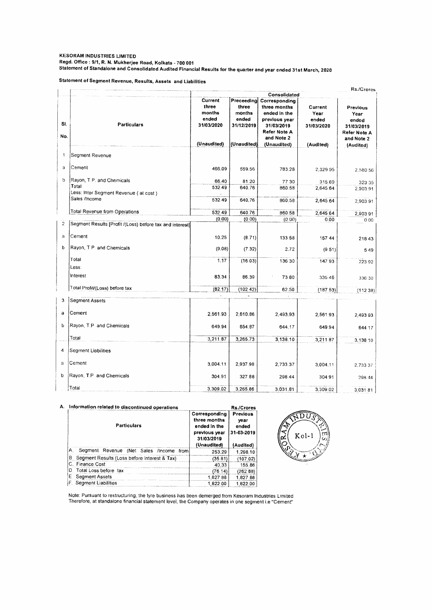#### **KESORAM INDUSTRIES LIMITED Regd. Office : 9/1, R. N. Mukherjee Road, Kolkata 700 001 Statement of Standalone and Consolidated Audited Financial Results for the quarter and year ended 31st March, 2020**

**Statement of Segment Revenue, Results, Assets and Liabilities** 

|                |                                                          |                                                   |                                                      |                                                                                              |                                        | Rs./Crores                                              |
|----------------|----------------------------------------------------------|---------------------------------------------------|------------------------------------------------------|----------------------------------------------------------------------------------------------|----------------------------------------|---------------------------------------------------------|
|                |                                                          |                                                   |                                                      | Consolidated                                                                                 |                                        |                                                         |
| SI.<br>No.     | <b>Particulars</b>                                       | Current<br>three<br>months<br>ended<br>31/03/2020 | Preceeding<br>three<br>months<br>ended<br>31/12/2019 | Corresponding<br>three months<br>ended in the<br>previous year<br>31/03/2019<br>Refer Note A | Current<br>Year<br>ended<br>31/03/2020 | Previous<br>Year<br>ended<br>31/03/2019<br>Refer Note A |
|                |                                                          | (Unaudited)                                       | (Unaudited)                                          | and Note 2<br>(Unaudited)                                                                    | (Audited)                              | and Note 2                                              |
|                |                                                          |                                                   |                                                      |                                                                                              |                                        | (Audited)                                               |
| $\mathbf{1}$   | Segment Revenue                                          |                                                   |                                                      |                                                                                              |                                        |                                                         |
| a              | Cement                                                   | 466.09                                            | 559.56                                               | 783.28                                                                                       | 2.329.95                               | 2,580 56                                                |
| b              | Rayon, T.P. and Chemicals                                | 66.40                                             | 81.20                                                | 77 30                                                                                        | 315.69                                 | 323 35                                                  |
|                | Total                                                    | 532.49                                            | 640.76                                               | 860.58                                                                                       | 2,645.64                               | 2,903 91                                                |
|                | Less: Inter Segment Revenue (at cost)<br>Sales /Income   |                                                   |                                                      |                                                                                              |                                        |                                                         |
|                |                                                          | 532.49                                            | 640,76                                               | 860.58                                                                                       | 2,645.64                               | 2,903.91                                                |
|                | Total Revenue from Operations                            | 532.49                                            | 640,76                                               | 860.58                                                                                       | 2,645.64                               | 2,903 91                                                |
|                |                                                          | (0.00)                                            | (0.00)                                               | (0.00)                                                                                       | 0.00                                   | 0.00                                                    |
| $\overline{c}$ | Segment Results [Profit /(Loss) before tax and interest] |                                                   |                                                      |                                                                                              |                                        |                                                         |
| a              | Cement                                                   | 10.25                                             | (8.71)                                               | 133.58                                                                                       | 157 44                                 | 21843                                                   |
| b              | Rayon, T.P. and Chemicals                                | (9.08)                                            | (7.32)                                               | 2.72                                                                                         | (9.51)                                 | 549                                                     |
|                | Total                                                    | 1.17                                              | (16.03)                                              | 136.30                                                                                       | 147.93                                 | 223 92                                                  |
|                | Less:                                                    |                                                   |                                                      |                                                                                              |                                        |                                                         |
|                | Interest                                                 | 83.34                                             | 86.39                                                | 73.80                                                                                        | 335.46                                 | 336 30                                                  |
|                | Total Profit/(Loss) before tax                           | (82.17)                                           | (102.42)                                             | 62.50                                                                                        | (18753)                                | (112.38)                                                |
| 3              | Segment Assets                                           |                                                   |                                                      |                                                                                              |                                        |                                                         |
|                |                                                          |                                                   |                                                      |                                                                                              |                                        |                                                         |
| a              | Cement                                                   | 2,561.93                                          | 2.610.86                                             | 2,493.93                                                                                     | 2.561.93                               | 2,493 93                                                |
| b              | Rayon, T.P. and Chemicals                                | 649.94                                            | 654.87                                               | 644.17                                                                                       | 649.94                                 | 644.17                                                  |
|                | Total                                                    | 3,211.87                                          | 3,265.73                                             | 3,138,10                                                                                     | 3,211 87                               | 3,138.10                                                |
| 4              | <b>Segment Liabilities</b>                               |                                                   |                                                      |                                                                                              |                                        |                                                         |
| a              | Cement                                                   | 3,004.11                                          | 2,937.98                                             | 2,733.37                                                                                     | 3,004.11                               | 2,733 37                                                |
| þ              | Rayon, T.P. and Chemicals                                | 304.91                                            | 327.88                                               | 298.44                                                                                       | 304 91                                 | 298 44                                                  |
|                | Total                                                    | 3,309.02                                          | 3,265.86                                             | 3,031.81                                                                                     | 3,309.02                               | 3,031 81                                                |

| А. | Information related to discontinued operations                                                                                                              |
|----|-------------------------------------------------------------------------------------------------------------------------------------------------------------|
|    | CONTRACTOR AND ALLOW CONTRACTOR COMMUNICATION CONTRACTOR CONTRACTOR CONTRACTOR CONTRACTOR CONTRACTOR CONTRACTOR CONTRACTOR CONTRACTOR CONTRACTOR CONTRACTOR |

| Information related to discontinued operations<br>Rs./Crores |                                                                                             |                                                             |  |
|--------------------------------------------------------------|---------------------------------------------------------------------------------------------|-------------------------------------------------------------|--|
| <b>Particulars</b>                                           | Corresponding<br>three months<br>ended in the<br>previous year<br>31/03/2019<br>(Unaudited) | <b>Previous</b><br>vear<br>ended<br>31-03-2019<br>(Audited) |  |
| Segment Revenue (Net Sales /Income<br>А<br>from              | 253.29                                                                                      | 1,298,10                                                    |  |
| В.<br>Segment Results (Loss before Interest & Tax)           | (35.81)                                                                                     | (107.02)                                                    |  |
| C. Finance Cost                                              | 40.33                                                                                       | 155.86                                                      |  |
| Total Loss before tax                                        | (76.14)                                                                                     | (262 88)                                                    |  |
| E<br>Segment Assets                                          | 1.827.88                                                                                    | 1.827.88                                                    |  |
| Segment Liabilities                                          | 1.822.00                                                                                    | 182200                                                      |  |



Note: Pursuant to restructuring, the tyre business has been demerged from Kesoram Industries Limited Therefore, at standalone financial statement level, the Company operates in one segment i.e "Cement"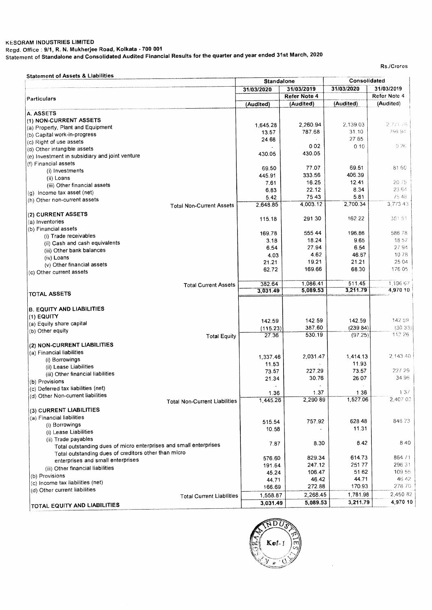#### **KESORAM INDUSTRIES LIMITED Regd. Office : 9/1, R. N. Mukherjee Road, Kolkata - 700 001**  Statement **of Standalone and Consolidated Audited Financial Results for the quarter and year ended 31st March, 2020**

Rs./Crores

|                                                                   | <b>Standalone</b> |              | Consolidated |              |
|-------------------------------------------------------------------|-------------------|--------------|--------------|--------------|
|                                                                   | 31/03/2020        | 31/03/2019   | 31/03/2020   | 31/03/2019   |
| Particulars                                                       |                   | Refer Note 4 |              | Refer Note 4 |
|                                                                   | (Audited)         | (Audited)    | (Audited)    | (Audited)    |
| A. ASSETS                                                         |                   |              |              |              |
| (1) NON-CURRENT ASSETS                                            |                   |              |              |              |
| (a) Property, Plant and Equipment                                 | 1.645.28          | 2.260.94     | 2,139.03     | 2,771.76     |
| (b) Capital work-in-progress                                      | 13.57             | 787.68       | 31.10        | 799.94       |
| (c) Right of use assets                                           | 24.68             |              | 27.65        |              |
| (d) Other intangible assets                                       |                   | 0.02         | 010          | 0.26         |
| (e) Investment in subsidiary and joint venture                    | 430.05            | 430.05       |              |              |
| (f) Financial assets                                              |                   |              |              |              |
| (i) Investments                                                   | 69.50             | 77.07        | 69.51        | 81.60        |
| (ii) Loans                                                        | 445.91            | 333.56       | 406.39       |              |
| (iii) Other financial assets                                      | 7.61              | 16.25        | 12.41        | 20.75        |
| (g) Income tax asset (net)                                        | 6.83              | 22.12        | 8.34         | 23.64        |
| (h) Other non-current assets                                      | 5.42              | 75 43        | 5.81         | 75.48        |
| <b>Total Non-Current Assets</b>                                   | 2.648.85          | 4,003.12     | 2,700.34     | 3,773 43     |
| (2) CURRENT ASSETS                                                |                   |              |              |              |
| (a) Inventories                                                   | 115.18            | 291.30       | 162.22       | 351.51       |
| (b) Financial assets                                              |                   |              |              |              |
| (i) Trade receivables                                             | 169.78            | 555.44       | 196.86       | 58678        |
|                                                                   | 3.18              | 18.24        | 9.65         | 18.57        |
| (ii) Cash and cash equivalents                                    | 6.54              | 27.94        | 6.54         | 27.94        |
| (iii) Other bank balances                                         | 4.03              | 4.62         | 46.67        | 1078         |
| (iv) Loans                                                        | 21.21             | 19.21        | 21.21        | 25.04        |
| (v) Other financial assets                                        | 62.72             | 169.66       | 68.30        | 176 05       |
| (c) Other current assets                                          |                   |              |              |              |
| <b>Total Current Assets</b>                                       | 382.64            | 1,086.41     | 511.45       | 1,196.67     |
| <b>TOTAL ASSETS</b>                                               | 3,031.49          | 5,089.53     | 3,211.79     | 4,970 10     |
|                                                                   |                   |              |              |              |
|                                                                   |                   |              |              |              |
| <b>B. EQUITY AND LIABILITIES</b>                                  |                   |              |              |              |
| $(1)$ EQUITY                                                      | 142.59            | 142.59       | 142.59       | 142.59       |
| (a) Equity share capital                                          | (115.23)          | 387.60       | (239.84)     | (30.33)      |
| (b) Other equity<br><b>Total Equity</b>                           | 27,36             | 530.19       | (97.25)      | 112.26       |
|                                                                   |                   |              |              |              |
| (2) NON-CURRENT LIABILITIES                                       |                   |              |              |              |
| (a) Financial liabilities                                         | 1,337.46          | 2,031.47     | 1,414.13     | 2.143.40     |
| (i) Borrowings                                                    | 11.53             |              | 11.93        |              |
| (ii) Lease Liabilities                                            | 73.57             | 227.29       | 73.57        | 227-29       |
| (iii) Other financial liabilities                                 | 21.34             | 30.76        | 26.07        | 34 96        |
| (b) Provisions                                                    |                   |              |              |              |
| (c) Deferred tax liabilities (net)                                | 1.36              | 1.37         | 1.36         | 1.37         |
| (d) Other Non-current liabilities                                 | 1,445.26          | 2,290.89     | 1,527.06     | 2,407.02     |
| <b>Total Non-Current Liabilities</b>                              |                   |              |              |              |
| (3) CURRENT LIABILITIES                                           |                   |              |              |              |
| (a) Financial liabilities                                         | 515.54            | 757.92       | 628.48       | 84673        |
| (i) Borrowings                                                    |                   |              | 11.31        |              |
| (i) Lease Liabilities                                             | 10.58             |              |              |              |
| (ii) Trade payables                                               |                   |              | 8.42         | 8.40         |
| Total outstanding dues of micro enterprises and small enterprises | 7.87              | 8.30         |              |              |
| Total outstanding dues of creditors other than micro              |                   |              |              |              |
| enterprises and small enterprises                                 | 576.60            | 829.34       | 614.73       | 864 71       |
| (iii) Other financial liabilities                                 | 191.64            | 247.12       | 25177        | 296.31       |
| (b) Provisions                                                    | 45,24             | 106.47       | 51 62        | 109.55       |
| (c) Income tax liabilities (net)                                  | 44.71             | 46.42        | 44.71        | 46.42        |
| (d) Other current liabilities                                     | 166.69            | 272.88       | 170.93       | 278.70       |
| <b>Total Current Liabilities</b>                                  | 1,558.87          | 2,268.45     | 1,781.98     | 2,450 82     |
|                                                                   |                   |              | 3,211.79     | 4,970 10     |

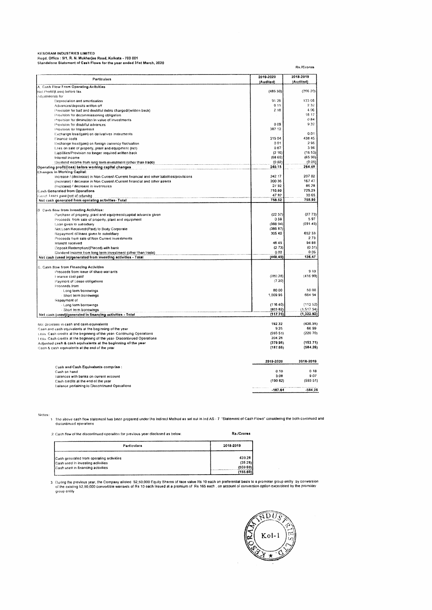| <b>KESORAM INDUSTRIES LIMITED</b>                                      |
|------------------------------------------------------------------------|
| Read, Office: 9/1, R. N. Mukherlee Road, Kolkata - 700 001             |
| Slandalone Statement of Cash Flows for the year ended 31st March, 2020 |

| Particulars                                                                              | 2019-2020<br>(Audited) | 2018-2019<br>(Auditod) |
|------------------------------------------------------------------------------------------|------------------------|------------------------|
| A. Cash Flow From Operating Activities                                                   |                        |                        |
| Net Profit/(Loss) before tax                                                             | (485.50)               | (266, 20)              |
| Adjustments for                                                                          |                        |                        |
| Depreciation and amortisation                                                            | 9126                   | 133.08                 |
| Advances/deposits written off                                                            | 0 11                   | 232                    |
| Provision for bad and doublful debts charged/(written back)                              | 2.18                   | 4.06                   |
| Provision for decommissioning obligation.                                                |                        | 18 17                  |
| Provision for diminution in value of investments                                         |                        | 0.84                   |
| Provision for doublful advances                                                          | 0.09                   | 932                    |
| Provision for Impairment                                                                 | 387 12                 |                        |
| Exchange loss/(gain) on derivatives instruments                                          |                        | 0.01                   |
| Finance costs                                                                            | 315 04                 | 438.45                 |
| Exchange loss/(gain) on foreign currency fluctuation                                     | 001                    | 295                    |
| Loss on sale of property, plant and equipment (net)                                      | 0.67                   | 396                    |
| Liabilities/Provision no longer required written back                                    | (216)                  | (16.53)                |
| Interest income                                                                          | (6865)                 | (6590)                 |
| Dividend income from long term investment (other than trade)                             | (0.02)                 | (0.05)                 |
| Operating profit/(loss) before working capital changes                                   | 240.15                 | 264.4B                 |
| Changes in Working Capital:                                                              |                        |                        |
| increase / (decrease) in Non Current /Current financial and other liabilities/provisions | 242.17                 | 207 02                 |
| (locrease) / decrease in Non Current /Current financial and other assets                 | 200 36                 | 167 47                 |
| (increase) / decrease in inventories                                                     | 2/92                   | 86.28                  |
| Cash Generated from Operations                                                           | 710.60                 | 725.25                 |
| Greet Taxes paid (not of retunds)                                                        | 47.92                  | 30.65                  |
| Not cash gonorated from operating activities- Total                                      | 758.52                 | 755,90                 |
|                                                                                          |                        |                        |
| <b>B</b> Cash flow from Investing Activities:                                            |                        |                        |
| Purchase of property, plant and equipment/capital advance given                          | (2237)                 | (2773)                 |
| Proceeds from sale of property, plant and equipment                                      | 0.59                   | 597                    |
| Loan given to subsidiary                                                                 | (388.94)               | (59145)                |
| Net Loan Received/(Paid) to Body Corporate                                               | (386 87)               |                        |
| Repayment of loans given to subsidiary                                                   | 305 40                 | 652 33                 |
| Proceeds from sale of Nen Current investments                                            |                        | 2.73                   |
| Interest received                                                                        | 46.45                  | 94 88                  |
| Deposit Redemption/(Placed) with bank                                                    | (2.73)                 | (0.31)                 |
| Dividend income from long term investment (other than trade)                             | 0.02                   | 0.05                   |
| Net cash (used in)/generated from investing activities - Total                           | (448.45)               | 136.47                 |
| C. Cash flow from Financing Activities                                                   |                        |                        |
| Proceeds from issue of share warrants                                                    |                        | 9 1 9                  |
| Hinance cost paid                                                                        | (280.28)               | (41699)                |
| Payment of Lease obligations                                                             | (7.20)                 |                        |
| Proceeds from                                                                            |                        |                        |
| - Long term borrowings                                                                   | 80.00                  | 50 00                  |
| - Short term borrowings                                                                  | 1,009.95               | 664 94                 |
| Repayment of                                                                             |                        |                        |
| - Lang term borrowings                                                                   | (116.40)               | (112.52)               |
| - Short term borrowings                                                                  | (803 82)               | (1, 517.54)            |
| Net cash (used)/generated in financing activities - Total                                | (117.75)               | (1,322.92)             |
|                                                                                          |                        |                        |
| Not decrease in cash and cash equivalents                                                | 192.32                 | (430.55)               |
| Cash and cash equivalents at the beginning of the year                                   | 925                    | 66.99                  |
| Loss. Cash credits all the beginning of the year- Continuing Operations                  | (593.51)               | (220 70)               |
| Less. Cash credits at the beginning of the year-Discontinued Operations                  | 204.28                 |                        |
| Adjusted cash & cash equivalents at the beginning of the year                            | (379.98)               | (153.71)               |
| Cash & cash equivalents at the end of the year                                           | (187.66)               | (584.26)               |
|                                                                                          | 2019-2020              | 2018-2019              |
| Cash and Cash Equivalents comprise :                                                     |                        |                        |
| Cash on hand                                                                             | 0.10                   | 018                    |
| Balances with banks on current account                                                   | 308                    | 9.07                   |
| Cash credits at the end of the year                                                      | (190 82)               | (59351)                |
| Balance pertaining to Discontinued Operations                                            |                        |                        |
|                                                                                          | $-107.64$              | $-584.26$              |

Notes:<br>1 The above cash flow statement has been propared under the Indirect Method as set out in Ind AS - 7. "Statement of Cash Flows" considering the both continued an<br>discontinued operations

| 2. Cash flow of the discontinued operation for previous year disclosed as below: | Rs./Crores |
|----------------------------------------------------------------------------------|------------|
|----------------------------------------------------------------------------------|------------|

| Particulars                              | 2018-2019 |
|------------------------------------------|-----------|
| Cash generated from operating activities | 439.28    |
| Cash used in investing activities        | (35.28)   |
| Cash used in financing activities        | (559 69)  |
|                                          | (155.69)  |

3. During the previous year, the Company alloted. 52,50,000 Equity Shares of face value Rs 10 each on preferential basis to a promoter group entity. by conversion<br>- of the existing 52,50,000 convertible warrants of Rs 10 e



Rs./Crores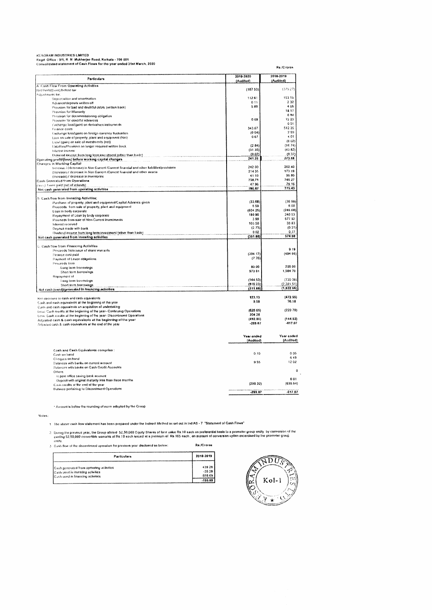| KESORAM INDUSTRIES LIMITED |  |   |  |  |  |  |
|----------------------------|--|---|--|--|--|--|
|                            |  | . |  |  |  |  |

KESORAM INDUSTRIES LIMITED Read Office 9/1, R N Mukherjoe Road, Kolkata - 700 001 Consolidated statement or Cash Flows for rho year ended 31s1 March, 2020

|                                                                                                                                                      | 2018-2019              |
|------------------------------------------------------------------------------------------------------------------------------------------------------|------------------------|
| 2019-2020<br>Particulars<br>(Audiled)                                                                                                                | (Audited)              |
| A. Cash Flow From Operating Activities                                                                                                               |                        |
| (187.53)<br>Net Profit(Loss) before fax                                                                                                              | (375.27)               |
| Adjustments for:                                                                                                                                     |                        |
| 112.61<br>Depreciation and amortisation                                                                                                              | 153.15                 |
| 0.11<br>Advance/deposits written off                                                                                                                 | 2.32                   |
| 5.89<br>Provision for bad and doubtful debts (written back)                                                                                          | 4.06                   |
| <b>Provision for Warranty</b>                                                                                                                        | 1817                   |
| Provision for decommissioning obligation                                                                                                             | 0.84                   |
| 0.09<br>Provision for doublful advances                                                                                                              | 12 20                  |
| Exchange loss/(gain) on derivatives instruments                                                                                                      | 001                    |
| 343.67<br>Finance costs                                                                                                                              | 512 35                 |
| (0.04)<br>Exchange loss/(gain) on foreign currency fluctuation.                                                                                      | 299                    |
| Loss on sale of property, plant and equipment (Net).                                                                                                 | 4 0 1<br>067           |
| Loss/ (gain) on sale of investments (net)                                                                                                            | (0 02)                 |
| (284)<br>Liabilities/Provision no longer required written back                                                                                       | (16.74)                |
| (31.35)<br>interest income                                                                                                                           | (43B2)                 |
| (0.02)<br>theirend income from long lerm investment (other than trade)                                                                               | (0.37)                 |
| 241.26<br>Operating profit/[foss] before working capital changes                                                                                     | 273.68                 |
| Changes in Working Capital:                                                                                                                          |                        |
| 242 00<br>tiscrease / (decrease) in Non Current /Current financial and other liabilities/provisions                                                  | 202 40                 |
| 214.35<br>(increase) / decrease in Non Current /Current financial and other assets                                                                   | 173.19                 |
| 41 10<br>(increase) / decrease in Inventories                                                                                                        | 96.80                  |
| 738.71<br><b>Cash Generated from Operations</b>                                                                                                      | 746.27                 |
| 4796<br>Denist Taxes paid (net of relunds)                                                                                                           | 29.16                  |
| 786.67<br>Net cash generated from operating activities                                                                                               | 775.43                 |
|                                                                                                                                                      |                        |
| 0. Cash flow from Investing Activities;                                                                                                              |                        |
| (33.68)<br>Purchase of property, plant and equipment/Capitat Advance given                                                                           | (36.98)                |
|                                                                                                                                                      | 6.00<br>0.59           |
| Proceeds from sale of property, plant and equipment<br>(604.25)                                                                                      | (246.68)               |
| Loan to body corporate<br>180.90                                                                                                                     | 240.53                 |
| Repayment of Loan by body corporate                                                                                                                  | 577.92<br>3.99         |
| Proceeds from sale of Non Current investments<br>103.50                                                                                              | 33.83                  |
| Interest received                                                                                                                                    | (0.31)<br>(2.73)       |
| Deposit made with bank                                                                                                                               | 0.37<br>0.02           |
| Dividend income from long term investment (other than trade)<br>(351.66)                                                                             | 574.68                 |
| Not cash generated from investing activities                                                                                                         |                        |
| C. Cash flow from Financing Activities                                                                                                               |                        |
| Proceeds from issue of share warrants                                                                                                                | 9.19                   |
| (39417)<br>Finance cost paid                                                                                                                         | (494.66)               |
| Payment of Lease obligations                                                                                                                         | (7.76)                 |
| <b>Frocceds</b> from                                                                                                                                 |                        |
| Long term borrowings                                                                                                                                 | 200.00<br>80.00        |
| 970 81                                                                                                                                               | 1,584.70               |
| Short term berrowings                                                                                                                                |                        |
| Repayment of<br>(144.53)                                                                                                                             | (730.38)               |
| I ong term berrowings<br>(816.23)                                                                                                                    | (2,391.51)             |
| Short term borrowings<br>(311.88)<br>Not cash (used)/generated in financing activities                                                               | (1, B22, 66)           |
|                                                                                                                                                      |                        |
| 123.13<br>Net decrease in eash and cash equivalents                                                                                                  | (472.55)               |
| Cash and cash equivalents at the beginning of the year                                                                                               | 9,58<br>76.18          |
| Cush and cash equivalents on acquisition of undertaking                                                                                              |                        |
| (626.66)<br>Less: Cash credits at the beginning of the year- Continuing Operations                                                                   | (22070)                |
| 204.26                                                                                                                                               |                        |
| Less: Cash credits at the beginning of the year-Discontinued Operations<br>(412.80)<br>Adjusted cash & cash equivalents at the beginning of the year | (144.52)               |
| Adjusted cash & cash equivalents at the end of the year                                                                                              | $-617.07$<br>$-269.67$ |
|                                                                                                                                                      |                        |
| Year ended                                                                                                                                           | Year ended             |
| (Audited)                                                                                                                                            | (Audited)              |
|                                                                                                                                                      |                        |
| Cash and Cash Equivalenta comprise :                                                                                                                 |                        |
| Cash on hand                                                                                                                                         | 0,10<br>0 0 5          |
| Cheques on hand                                                                                                                                      | 649                    |
| Balances with banks on current account                                                                                                               | 1202<br>9.55           |
| <b>Balances with banks on Cash Credit Accounts</b>                                                                                                   |                        |
| Others                                                                                                                                               | $\mathbf{u}$           |
| in post office saving bank account                                                                                                                   |                        |
| Deposit with original maturity less than three months                                                                                                | 001                    |
| Casas credits at the end of the year                                                                                                                 | (299.32)<br>(635.64)   |
| Balance perlaining to Discontinued Operations                                                                                                        |                        |
|                                                                                                                                                      | $-617.07$<br>$-289.87$ |

Amount is below the rounding of norm adopted by the Group

Notes:

1 (he above cash flow statement has been prepared under the Indirect Method as set out in Ind AS - 7 "Statement of Cash Flows"

Duing the previous year, the Group alloted 52,50,000 Equity Shares of face value Rs 10 cach on preferential basis to a promoter group entity. by conversion of th<br>existing 52,50,000 convertible warrants of Rs 10 each issued

| Particulars                              | 2018-2019 |
|------------------------------------------|-----------|
| Cash generated from operating activities | 439 28    |
| Cash used in investing activities        | $-35.20$  |
| Cash used in financing activities        | $-559.69$ |
|                                          |           |

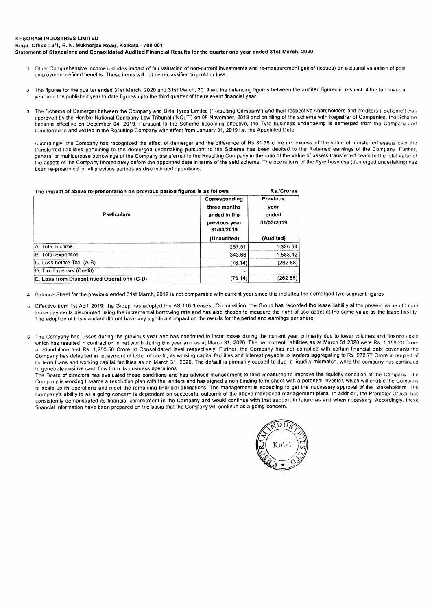#### KESORAM INDUSTRIES LIMITED

Regd. Office : 9/1, R. N. Mukherjee Road, Kolkata - 700 **001** 

Statement of Standalone and Consolidated Audited Financial Results for the quarter and year ended 31st March, 2020

- 1 Other Comprehensive Income includes impact of fair valuation of non-current investments and re-measurement gains/ (losses) on actuarial valuation of post employment defined benefits. These items will not be reclassified to profit or loss.
- 2 The figures for the quarter ended 31st March, 2020 and 31st March, 2019 are the balancing figures between the audited figures in respect of the full financial year and the published year to date figures upto the third quarter of the relevant financial year.
- 3 The Scheme of Demerger between the Company and Birla Tyres Limited ("Resulting Company") and their respective shareholders and creditors ("Scheme") was approved by the Hon'ble National Company Law Tribunal ('NCLT') on 08 November, 2019 and on filing of the scheme with Registrar of Companies, the Scheme became effective on December 04, 2019. Pursuant to the Scheme becoming effective, the Tyre business undertaking is demerged from the Company and transferred to and vested in the Resulting Company with effect from January 01, 2019 i.e. the Appointed Date.

Accordingly, the Company has recognised the effect of demerger and the difference of Rs 81.76 crore i.e. excess of the value of transferred assets over the transferred liabilities pertaining to the demerged undertaking pursuant to the Scheme has been debited to the Retained earnings of the Company Further, general or multipurpose borrowings of the Company transferred to the Resulting Company in the ratio of the value of assets transferred bears to the total value of the assets of the Company immediately before the appointed date in terms of the said scheme. The operations of the Tyre business (demerged undertaking) has been re-presented for all previous periods as discontinued operations.

| The impact of above re-presentation on previous period figures is as follows | Rs./Crores                              |
|------------------------------------------------------------------------------|-----------------------------------------|
| Corresponding<br>three months<br>ended in the<br>previous year<br>31/03/2019 | Previous<br>vear<br>ended<br>31/03/2019 |
| (Unaudited)                                                                  | (Audited)                               |
| 267.51                                                                       | 1.325.54                                |
| 343.66                                                                       | 1,588.42                                |
| (76.14)                                                                      | (262.88)                                |
|                                                                              |                                         |
| (76.14)                                                                      | (262.88)                                |
|                                                                              |                                         |

4 Balance Sheet for the previous ended 31st March, 2019 is not comparable with current year since this includes the demerged tyre segment figures

- 5 Effective from 1st April 2019, the Group has adopted Ind AS 116 'Leases'. On transition, the Group has recorded the lease liability at the present value of future lease payments discounted using the incremental borrowing rate and has also chosen to measure the right-of-use asset at the same value as the lease liability The adoption of this standard did not have any significant impact on the results for the period and earnings per share.
- 6 The Company had losses during the previous year and has continued to incur losses during the current year, primarily due to lower volumes and finance costs which has resulted in contraction in net worth during the year and as at March 31, 2020. The net current liabilities as at March 31 2020 were Rs. 1,156 20 Crore at Standalone and Rs. 1,250,50 Crore at Consolidated level respectively. Further, the Company has not complied with certain financial debt covenants,the Company has defaulted in repayment of letter of credit, its working capital facilities and interest payable to lenders aggregating to Rs 272.77 Crore in respect of its term loans and working capital facilities as on March 31, 2020. The default is pirmiarily caused to due to liqudity mismatch, while the company has continued to genetrate positive cash flow from its business operations.

The Board of directors has evaluated these conditions and has advised management to take measures to improve the liquidity condition of the Company The Company is working towards a resolution plan with the lenders and has signed a non-binding term sheet with a potential investor, which will enable the Company to scale up its operations and meet the remaining financial obligations. The management is expecting to get the necessary approval of the stakeholders I he Company's ability to as a going concern is dependent on successful outcome of the above mentioned management plans, In addition, the Promoter Group, has consistently demonstrated its financial commitment in the Company and would continue with that support in future as and when necessary Accordingly, those financial information have been prepared on the basis that the Company will continue as a going concern.

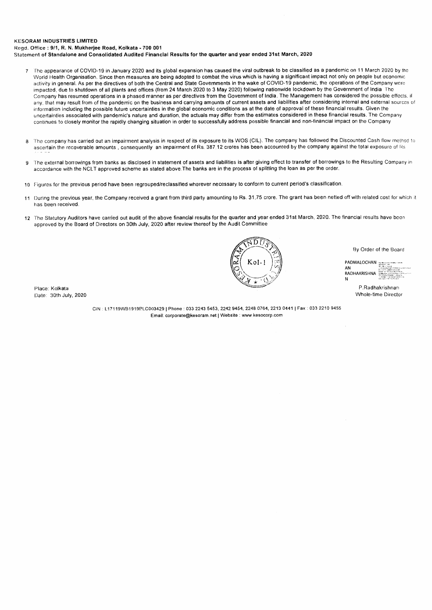#### KESORAM **INDUSTRIES LIMITED**

Regd. Office : 9/1, R. N. Mukherjee Road, Kolkata - 700 001 Statement of Standalone and Consolidated Audited Financial Results for the quarter and year ended 31st March, 2020

- 7 The appearance of COVID-19 in January 2020 and its global expansion has caused the viral outbreak to be classified as a pandemic on 11 March 2020 by the World Health Organisation. Since then measures are being adopted to combat the virus which is having a significant impact not only on people but economic activity in general. As per the directives of both the Central and State Governments in the wake of COVID-19 pandemic, the operations of the Company were impacted, due to shutdown of all plants and offices (from 24 March 2020 to 3 May 2020) following nationwide lockdown by the Government of India The Company has resumed operations in a phased manner as per directives from the Government of India, The Management has considered the possible effects, if any, that may result from of the pandemic on the business and carrying amounts of current assets and liabilities after considering internal and external sources of information including the possible future uncertainties in the global economic conditions as at the date of approval of these financial results. Given the uncertainties associated with pandemic's nature and duration, the actuals may differ from the estimates considered in these financial results. The Company continues to closely monitor the rapidly changing situation in order to successfully address possible financial and non-financial impact on the Company
- 8 The company has carried out an impairment analysis in respect of its exposure to its WOS (CIL). The company has followed the Discounted Cash flow method to ascertain the recoverable amounts, consequently an impairment of Rs. 387.12 crores has been accounted by the company against the total exposure of Rs
- 9 The external borrowings from banks as disclosed in statement of assets and liabilities is after giving effect to transfer of borrowings to the Resulting Company in accordance with the NCLT approved scheme as stated above The banks are in the process of splitting the loan as per the order.
- 10 Figures for the previous period have been regrouped/reclassified wherever necessary to conform to current period's classification.
- 11 During the previous year, the Company received a grant from third party amounting to Rs. 31,75 crore. The grant has been netted off with related cost for which it has been received.
- 12 The Statutory Auditors have carried out audit of the above financial results for the quarter and year ended 31st March, 2020. The financial results have been approved by the Board of Directors on 30th July, 2020 after review thereof by the Audit Committee

Place: Kolkata Date: 30th July, 2020

> CIN L17119W81919PLC003429 Phone : 033 2243 5453, 2242 9454, 2248 0764, 2213 0441 i Fax : 033 2210 9455 Email: corporate@kesoram.net I Website : www kesocorp.com

ΤŒ

By Order of the Board

PADMALOCHAN AN<br>RADHAKRISHNA

N

P.Radhakrishnan Whole-time Director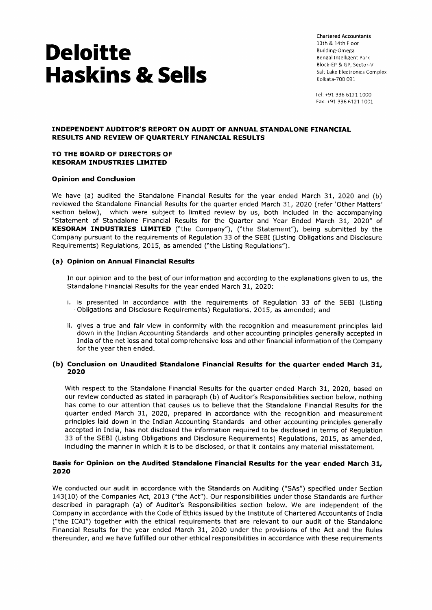Chartered Accountants 13th & 14th Floor Building-Omega Bengal Intelligent Park Block-EP & GP, Sector-V Salt Lake Electronics Complex Kolkata-700 091

Tel: +91 336 6121 1000 Fax: +91 336 6121 1001

#### **INDEPENDENT AUDITOR'S REPORT ON AUDIT OF ANNUAL STANDALONE FINANCIAL RESULTS AND REVIEW OF QUARTERLY FINANCIAL RESULTS**

#### **TO THE BOARD OF DIRECTORS OF KESORAM INDUSTRIES LIMITED**

#### **Opinion and Conclusion**

We have (a) audited the Standalone Financial Results for the year ended March 31, 2020 and (b) reviewed the Standalone Financial Results for the quarter ended March 31, 2020 (refer 'Other Matters' section below), which were subject to limited review by us, both included in the accompanying "Statement of Standalone Financial Results for the Quarter and Year Ended March 31, 2020" of **KESORAM INDUSTRIES LIMITED** ("the Company"), ("the Statement"), being submitted by the Company pursuant to the requirements of Regulation 33 of the SEBI (Listing Obligations and Disclosure Requirements) Regulations, 2015, as amended ("the Listing Regulations").

#### **(a) Opinion on Annual Financial Results**

In our opinion and to the best of our information and according to the explanations given to us, the Standalone Financial Results for the year ended March 31, 2020:

- i. is presented in accordance with the requirements of Regulation 33 of the SEBI (Listing Obligations and Disclosure Requirements) Regulations, 2015, as amended; and
- ii. gives a true and fair view in conformity with the recognition and measurement principles laid down in the Indian Accounting Standards and other accounting principles generally accepted in India of the net loss and total comprehensive loss and other financial information of the Company for the year then ended.

#### **(b) Conclusion on Unaudited Standalone Financial Results for the quarter ended March 31, 2020**

With respect to the Standalone Financial Results for the quarter ended March 31, 2020, based on our review conducted as stated in paragraph (b) of Auditor's Responsibilities section below, nothing has come to our attention that causes us to believe that the Standalone Financial Results for the quarter ended March 31, 2020, prepared in accordance with the recognition and measurement principles laid down in the Indian Accounting Standards and other accounting principles generally accepted in India, has not disclosed the information required to be disclosed in terms of Regulation 33 of the SEBI (Listing Obligations and Disclosure Requirements) Regulations, 2015, as amended, including the manner in which it is to be disclosed, or that it contains any material misstatement.

#### **Basis for Opinion on the Audited Standalone Financial Results for the year ended March 31, 2020**

We conducted our audit in accordance with the Standards on Auditing ("SAs") specified under Section 143(10) of the Companies Act, 2013 ("the Act"). Our responsibilities under those Standards are further described in paragraph (a) of Auditor's Responsibilities section below. We are independent of the Company in accordance with the Code of Ethics issued by the Institute of Chartered Accountants of India ("the ICAI") together with the ethical requirements that are relevant to our audit of the Standalone Financial Results for the year ended March 31, 2020 under the provisions of the Act and the Rules thereunder, and we have fulfilled our other ethical responsibilities in accordance with these requirements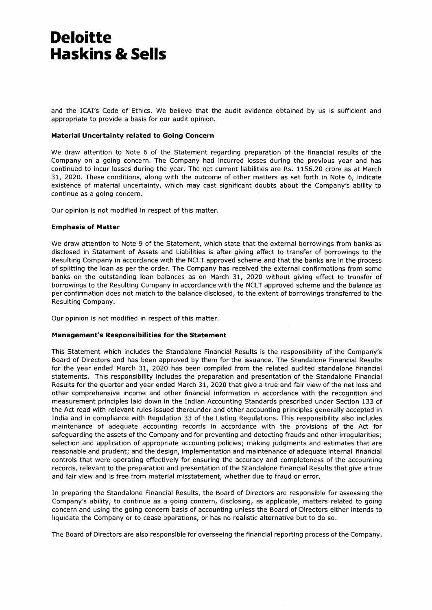and the ICAI's Code of Ethics. We believe that the audit evidence obtained by us is sufficient and appropriate to provide a basis for our audit opinion.

#### **Material Uncertainty related to Going Concern**

We draw attention to Note 6 of the Statement regarding preparation of the financial results of the Company on a going concern. The Company had incurred losses during the previous year and has continued to incur losses during the year. The net current liabilities are Rs. 1156.20 crore as at March 31, 2020. These conditions, along with the outcome of other matters as set forth in Note 6, indicate existence of material uncertainty, which may cast significant doubts about the Company's ability to continue as a going concern.

Our opinion is not modified in respect of this matter.

#### **Emphasis of Matter**

We draw attention to Note 9 of the Statement, which state that the external borrowings from banks as disclosed in Statement of Assets and Liabilities is after giving effect to transfer of borrowings to the Resulting Company in accordance with the NCLT approved scheme and that the banks are in the process of splitting the loan as per the order. The Company has received the external confirmations from some banks on the outstanding loan balances as on March 31, 2020 without giving effect to transfer of borrowings to the Resulting Company in accordance with the NCLT approved scheme and the balance as per confirmation does not match to the balance disclosed, to the extent of borrowings transferred to the Resulting Company.

Our opinion is not modified in respect of this matter.

#### **Management's Responsibilities for the Statement**

This Statement which includes the Standalone Financial Results is the responsibility of the Company's Board of Directors and has been approved by them for the issuance. The Standalone Financial Results for the year ended March 31, 2020 has been compiled from the related audited standalone financial statements. This responsibility includes the preparation and presentation of the Standalone Financial Results for the quarter and year ended March 31, 2020 that give a true and fair view of the net loss and other comprehensive income and other financial information in accordance with the recognition and measurement principles laid down in the Indian Accounting Standards prescribed under Section 133 of the Act read with relevant rules issued thereunder and other accounting principles generally accepted in India and in compliance with Regulation 33 of the Listing Regulations. This responsibility also includes maintenance of adequate accounting records in accordance with the provisions of the Act for safeguarding the assets of the Company and for preventing and detecting frauds and other irregularities; selection and application of appropriate accounting policies; making judgments and estimates that are reasonable and prudent; and the design, implementation and maintenance of adequate internal financial controls that were operating effectively for ensuring the accuracy and completeness of the accounting records, relevant to the preparation and presentation of the Standalone Financial Results that give a true and fair view and is free from material misstatement, whether due to fraud or error.

In preparing the Standalone Financial Results, the Board of Directors are responsible for assessing the Company's ability, to continue as a going concern, disclosing, as applicable, matters related to going concern and using the going concern basis of accounting unless the Board of Directors either intends to liquidate the Company or to cease operations, or has no realistic alternative but to do so.

The Board of Directors are also responsible for overseeing the financial reporting process of the Company.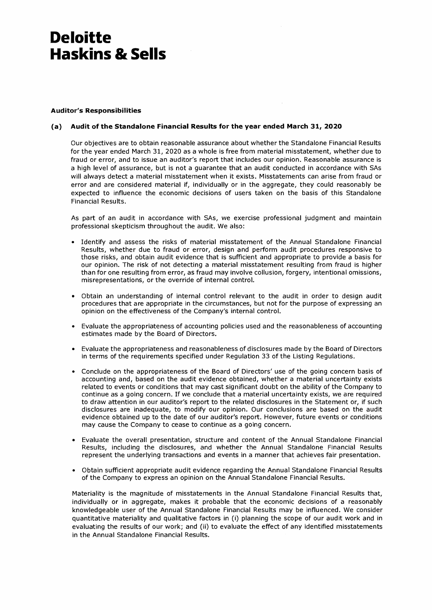#### **Auditor's Responsibilities**

#### **(a) Audit of the Standalone Financial Results for the year ended March 31, 2020**

Our objectives are to obtain reasonable assurance about whether the Standalone Financial Results for the year ended March 31, 2020 as a whole is free from material misstatement, whether due to fraud or error, and to issue an auditor's report that includes our opinion. Reasonable assurance is a high level of assurance, but is not a guarantee that an audit conducted in accordance with SAs will always detect a material misstatement when it exists. Misstatements can arise from fraud or error and are considered material if, individually or in the aggregate, they could reasonably be expected to influence the economic decisions of users taken on the basis of this Standalone Financial Results.

As part of an audit in accordance with SAs, we exercise professional judgment and maintain professional skepticism throughout the audit. We also:

- Identify and assess the risks of material misstatement of the Annual Standalone Financial Results, whether due to fraud or error, design and perform audit procedures responsive to those risks, and obtain audit evidence that is sufficient and appropriate to provide a basis for our opinion. The risk of not detecting a material misstatement resulting from fraud is higher than for one resulting from error, as fraud may involve collusion, forgery, intentional omissions, misrepresentations, or the override of internal control.
- Obtain an understanding of internal control relevant to the audit in order to design audit procedures that are appropriate in the circumstances, but not for the purpose of expressing an opinion on the effectiveness of the Company's internal control.
- Evaluate the appropriateness of accounting policies used and the reasonableness of accounting estimates made by the Board of Directors.
- Evaluate the appropriateness and reasonableness of disclosures made by the Board of Directors in terms of the requirements specified under Regulation 33 of the Listing Regulations.
- Conclude on the appropriateness of the Board of Directors' use of the going concern basis of accounting and, based on the audit evidence obtained, whether a material uncertainty exists related to events or conditions that may cast significant doubt on the ability of the Company to continue as a going concern. If we conclude that a material uncertainty exists, we are required to draw attention in our auditor's report to the related disclosures in the Statement or, if such disclosures are inadequate, to modify our opinion. Our conclusions are based on the audit evidence obtained up to the date of our auditor's report. However, future events or conditions may cause the Company to cease to continue as a going concern.
- Evaluate the overall presentation, structure and content of the Annual Standalone Financial Results, including the disclosures, and whether the Annual Standalone Financial Results represent the underlying transactions and events in a manner that achieves fair presentation.
- Obtain sufficient appropriate audit evidence regarding the Annual Standalone Financial Results of the Company to express an opinion on the Annual Standalone Financial Results.

Materiality is the magnitude of misstatements in the Annual Standalone Financial Results that, individually or in aggregate, makes it probable that the economic decisions of a reasonably knowledgeable user of the Annual Standalone Financial Results may be influenced. We consider quantitative materiality and qualitative factors in (i) planning the scope of our audit work and in evaluating the results of our work; and (ii) to evaluate the effect of any identified misstatements in the Annual Standalone Financial Results.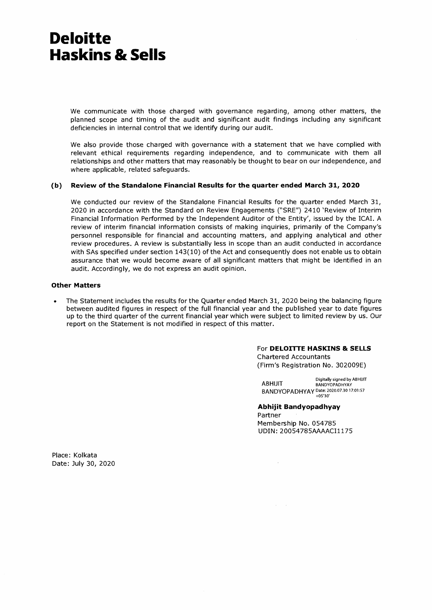We communicate with those charged with governance regarding, among other matters, the planned scope and timing of the audit and significant audit findings including any significant deficiencies in internal control that we identify during our audit.

We also provide those charged with governance with a statement that we have complied with relevant ethical requirements regarding independence, and to communicate with them all relationships and other matters that may reasonably be thought to bear on our independence, and where applicable, related safeguards.

#### **(b) Review of the Standalone Financial Results for the quarter ended March 31, 2020**

We conducted our review of the Standalone Financial Results for the quarter ended March 31, 2020 in accordance with the Standard on Review Engagements ("SRE") 2410 'Review of Interim Financial Information Performed by the Independent Auditor of the Entity', issued by the ICAI. A review of interim financial information consists of making inquiries, primarily of the Company's personnel responsible for financial and accounting matters, and applying analytical and other review procedures. A review is substantially less in scope than an audit conducted in accordance with SAs specified under section 143(10) of the Act and consequently does not enable us to obtain assurance that we would become aware of all significant matters that might be identified in an audit. Accordingly, we do not express an audit opinion.

#### **Other Matters**

• The Statement includes the results for the Quarter ended March 31, 2020 being the balancing figure between audited figures in respect of the full financial year and the published year to date figures up to the third quarter of the current financial year which were subject to limited review by us. Our report on the Statement is not modified in respect of this matter.

> For **DELOITTE HASKINS & SELLS**  Chartered Accountants (Firm's Registration No. 302009E)

**ARHIJIT** Digitally signed by ABHUIT BANDYOPADHYAY BANDYOPADHYAY Date: 2020.07.30 17:01:57 +05'30'

**Abhijit Bandyopadhyay**  Partner Membership No. 054785 UDIN: 20054785AAAACI1175

 $\Delta \sim 100$ 

Place: Kolkata Date: July 30, 2020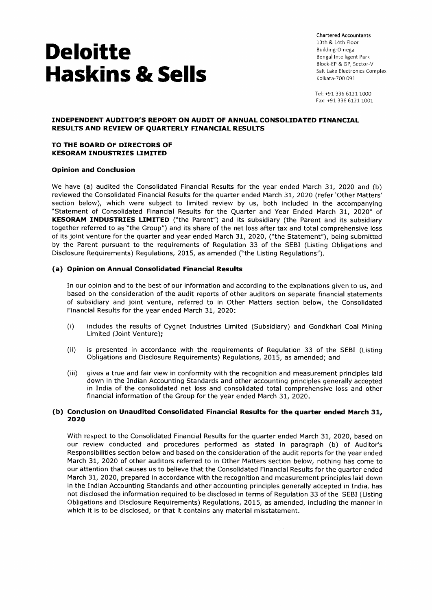Chartered Accountants 13th & 14th Floor Building-Omega Bengal Intelligent Park Block-EP & GP, Sector-V Salt Lake Electronics Complex Kolkata-700 091

Tel: +91 336 6121 1000 Fax: +91 336 6121 1001

#### **INDEPENDENT AUDITOR'S REPORT ON AUDIT OF ANNUAL CONSOLIDATED FINANCIAL RESULTS AND REVIEW OF QUARTERLY FINANCIAL RESULTS**

#### **TO THE BOARD OF DIRECTORS OF KESORAM INDUSTRIES LIMITED**

#### **Opinion and Conclusion**

We have (a) audited the Consolidated Financial Results for the year ended March 31, 2020 and (b) reviewed the Consolidated Financial Results for the quarter ended March 31, 2020 (refer 'Other Matters' section below), which were subject to limited review by us, both included in the accompanying "Statement of Consolidated Financial Results for the Quarter and Year Ended March 31, 2020" of **KESORAM INDUSTRIES LIMITED** ("the Parent") and its subsidiary (the Parent and its subsidiary together referred to as "the Group") and its share of the net loss after tax and total comprehensive loss of its joint venture for the quarter and year ended March 31, 2020, ("the Statement"), being submitted by the Parent pursuant to the requirements of Regulation 33 of the SEBI (Listing Obligations and Disclosure Requirements) Regulations, 2015, as amended ("the Listing Regulations").

#### **(a) Opinion on Annual Consolidated Financial Results**

In our opinion and to the best of our information and according to the explanations given to us, and based on the consideration of the audit reports of other auditors on separate financial statements of subsidiary and joint venture, referred to in Other Matters section below, the Consolidated Financial Results for the year ended March 31, 2020:

- (I) includes the results of Cygnet Industries Limited (Subsidiary) and Gondkhari Coal Mining Limited (Joint Venture);
- (ii) is presented in accordance with the requirements of Regulation 33 of the SEBI (Listing Obligations and Disclosure Requirements) Regulations, 2015, as amended; and
- (iii) gives a true and fair view in conformity with the recognition and measurement principles laid down in the Indian Accounting Standards and other accounting principles generally accepted in India of the consolidated net loss and consolidated total comprehensive loss and other financial information of the Group for the year ended March 31, 2020.

#### **(b) Conclusion on Unaudited Consolidated Financial Results for the quarter ended March 31, 2020**

With respect to the Consolidated Financial Results for the quarter ended March 31, 2020, based on our review conducted and procedures performed as stated in paragraph (b) of Auditor's Responsibilities section below and based on the consideration of the audit reports for the year ended March 31, 2020 of other auditors referred to in Other Matters section below, nothing has come to our attention that causes us to believe that the Consolidated Financial Results for the quarter ended March 31, 2020, prepared in accordance with the recognition and measurement principles laid down in the Indian Accounting Standards and other accounting principles generally accepted in India, has not disclosed the information required to be disclosed in terms of Regulation 33 of the SEBI (Listing Obligations and Disclosure Requirements) Regulations, 2015, as amended, including the manner in which it is to be disclosed, or that it contains any material misstatement.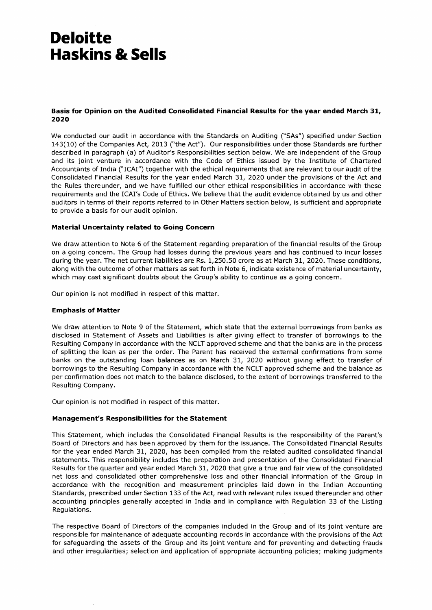#### **Basis for Opinion on the Audited Consolidated Financial Results for the year ended March 31, 2020**

**We conducted our audit in accordance with the Standards on Auditing ("SAs") specified under Section 143(10) of the Companies Act, 2013 ("the Act"). Our responsibilities under those Standards are further described in paragraph (a) of Auditor's Responsibilities section below. We are independent of the Group and its joint venture in accordance with the Code of Ethics issued by the Institute of Chartered Accountants of India ("ICAI") together with the ethical requirements that are relevant to our audit of the Consolidated Financial Results for the year ended March 31, 2020 under the provisions of the Act and the Rules thereunder, and we have fulfilled our other ethical responsibilities in accordance with these requirements and the ICAI's Code of Ethics. We believe that the audit evidence obtained by us and other auditors in terms of their reports referred to in Other Matters section below, is sufficient and appropriate to provide a basis for our audit opinion.** 

#### **Material Uncertainty related to Going Concern**

**We draw attention to Note 6 of the Statement regarding preparation of the financial results of the Group on a going concern. The Group had losses during the previous years and has continued to incur losses during the year. The net current liabilities are Rs. 1,250.50 crore as at March 31, 2020. These conditions, along with the outcome of other matters as set forth in Note 6, indicate existence of material uncertainty, which may cast significant doubts about the Group's ability to continue as a going concern.** 

**Our opinion is not modified in respect of this matter.** 

#### **Emphasis of Matter**

**We draw attention to Note 9 of the Statement, which state that the external borrowings from banks as disclosed in Statement of Assets and Liabilities is after giving effect to transfer of borrowings to the Resulting Company in accordance with the NCLT approved scheme and that the banks are in the process of splitting the loan as per the order. The Parent has received the external confirmations from some banks on the outstanding loan balances as on March 31, 2020 without giving effect to transfer of borrowings to the Resulting Company in accordance with the NCLT approved scheme and the balance as per confirmation does not match to the balance disclosed, to the extent of borrowings transferred to the Resulting Company.** 

**Our opinion is not modified in respect of this matter.** 

#### **Management's Responsibilities for the Statement**

**This Statement, which includes the Consolidated Financial Results is the responsibility of the Parent's Board of Directors and has been approved by them for the issuance. The Consolidated Financial Results for the year ended March 31, 2020, has been compiled from the related audited consolidated financial statements. This responsibility includes the preparation and presentation of the Consolidated Financial Results for the quarter and year ended March 31, 2020 that give a true and fair view of the consolidated net loss and consolidated other comprehensive loss and other financial information of the Group in accordance with the recognition and measurement principles laid down in the Indian Accounting Standards, prescribed under Section 133 of the Act, read with relevant rules issued thereunder and other accounting principles generally accepted in India and in compliance with Regulation 33 of the Listing Regulations.** 

**The respective Board of Directors of the companies included in the Group and of its joint venture are responsible for maintenance of adequate accounting records in accordance with the provisions of the Act for safeguarding the assets of the Group and its joint venture and for preventing and detecting frauds and other irregularities; selection and application of appropriate accounting policies; making judgments**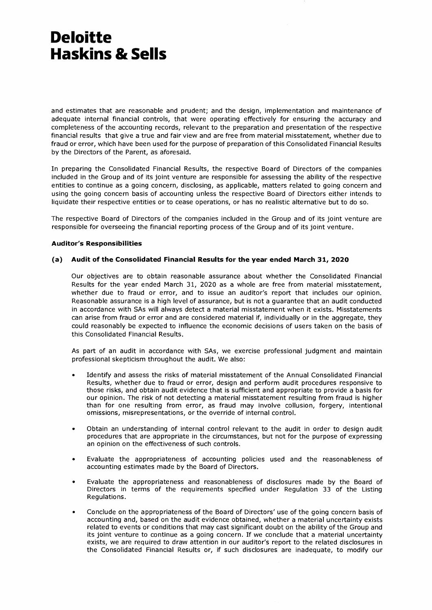and estimates that are reasonable and prudent; and the design, implementation and maintenance of adequate internal financial controls, that were operating effectively for ensuring the accuracy and completeness of the accounting records, relevant to the preparation and presentation of the respective financial results that give a true and fair view and are free from material misstatement, whether due to fraud or error, which have been used for the purpose of preparation of this Consolidated Financial Results by the Directors of the Parent, as aforesaid.

In preparing the Consolidated Financial Results, the respective Board of Directors of the companies included in the Group and of its joint venture are responsible for assessing the ability of the respective entities to continue as a going concern, disclosing, as applicable, matters related to going concern and using the going concern basis of accounting unless the respective Board of Directors either intends to liquidate their respective entities or to cease operations, or has no realistic alternative but to do so.

The respective Board of Directors of the companies included in the Group and of its joint venture are responsible for overseeing the financial reporting process of the Group and of its joint venture.

#### **Auditor's Responsibilities**

#### **(a) Audit of the Consolidated Financial Results for the year ended March 31, 2020**

Our objectives are to obtain reasonable assurance about whether the Consolidated Financial Results for the year ended March 31, 2020 as a whole are free from material misstatement, whether due to fraud or error, and to issue an auditor's report that includes our opinion. Reasonable assurance is a high level of assurance, but is not a guarantee that an audit conducted in accordance with SAs will always detect a material misstatement when it exists. Misstatements can arise from fraud or error and are considered material if, individually or in the aggregate, they could reasonably be expected to influence the economic decisions of users taken on the basis of this Consolidated Financial Results.

As part of an audit in accordance with SAs, we exercise professional judgment and maintain professional skepticism throughout the audit. We also:

- Identify and assess the risks of material misstatement of the Annual Consolidated Financial Results, whether due to fraud or error, design and perform audit procedures responsive to those risks, and obtain audit evidence that is sufficient and appropriate to provide a basis for our opinion. The risk of not detecting a material misstatement resulting from fraud is higher than for one resulting from error, as fraud may involve collusion, forgery, intentional omissions, misrepresentations, or the override of internal control.
- Obtain an understanding of internal control relevant to the audit in order to design audit procedures that are appropriate in the circumstances, but not for the purpose of expressing an opinion on the effectiveness of such controls.
- Evaluate the appropriateness of accounting policies used and the reasonableness of accounting estimates made by the Board of Directors.
- Evaluate the appropriateness and reasonableness of disclosures made by the Board of Directors in terms of the requirements specified under Regulation 33 of the Listing Regulations.
- Conclude on the appropriateness of the Board of Directors' use of the going concern basis of accounting and, based on the audit evidence obtained, whether a material uncertainty exists related to events or conditions that may cast significant doubt on the ability of the Group and its joint venture to continue as a going concern. If we conclude that a material uncertainty exists, we are required to draw attention in our auditor's report to the related disclosures in the Consolidated Financial Results or, if such disclosures are inadequate, to modify our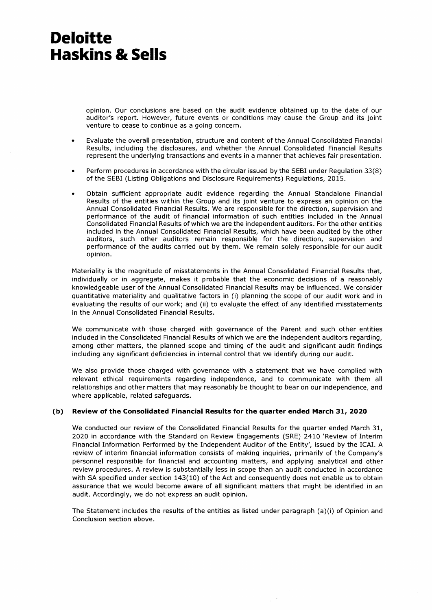opinion. Our conclusions are based on the audit evidence obtained up to the date of our auditor's report. However, future events or conditions may cause the Group and its joint venture to cease to continue as a going concern.

- Evaluate the overall presentation, structure and content of the Annual Consolidated Financial Results, including the disclosures, and whether the Annual Consolidated Financial Results represent the underlying transactions and events in a manner that achieves fair presentation.
- Perform procedures in accordance with the circular issued by the SEBI under Regulation 33(8) of the SEBI (Listing Obligations and Disclosure Requirements) Regulations, 2015.
- Obtain sufficient appropriate audit evidence regarding the Annual Standalone Financial Results of the entities within the Group and its joint venture to express an opinion on the Annual Consolidated Financial Results. We are responsible for the direction, supervision and performance of the audit of financial information of such entities included in the Annual Consolidated Financial Results of which we are the independent auditors. For the other entities included in the Annual Consolidated Financial Results, which have been audited by the other auditors, such other auditors remain responsible for the direction, supervision and performance of the audits carried out by them. We remain solely responsible for our audit opinion.

Materiality is the magnitude of misstatements in the Annual Consolidated Financial Results that, individually or in aggregate, makes it probable that the economic decisions of a reasonably knowledgeable user of the Annual Consolidated Financial Results may be influenced. We consider quantitative materiality and qualitative factors in (i) planning the scope of our audit work and in evaluating the results of our work; and (ii) to evaluate the effect of any identified misstatements in the Annual Consolidated Financial Results.

We communicate with those charged with governance of the Parent and such other entities included in the Consolidated Financial Results of which we are the independent auditors regarding, among other matters, the planned scope and timing of the audit and significant audit findings including any significant deficiencies in internal control that we identify during our audit.

We also provide those charged with governance with a statement that we have complied with relevant ethical requirements regarding independence, and to communicate with them all relationships and other matters that may reasonably be thought to bear on our independence, and where applicable, related safeguards.

#### **(b) Review of the Consolidated Financial Results for the quarter ended March 31, 2020**

We conducted our review of the Consolidated Financial Results for the quarter ended March 31, 2020 in accordance with the Standard on Review Engagements (SRE) 2410 'Review of Interim Financial Information Performed by the Independent Auditor of the Entity', issued by the ICAI. A review of interim financial information consists of making inquiries, primarily of the Company's personnel responsible for financial and accounting matters, and applying analytical and other review procedures. A review is substantially less in scope than an audit conducted in accordance with SA specified under section 143(10) of the Act and consequently does not enable us to obtain assurance that we would become aware of all significant matters that might be identified in an audit. Accordingly, we do not express an audit opinion.

The Statement includes the results of the entities as listed under paragraph (a)(i) of Opinion and Conclusion section above.